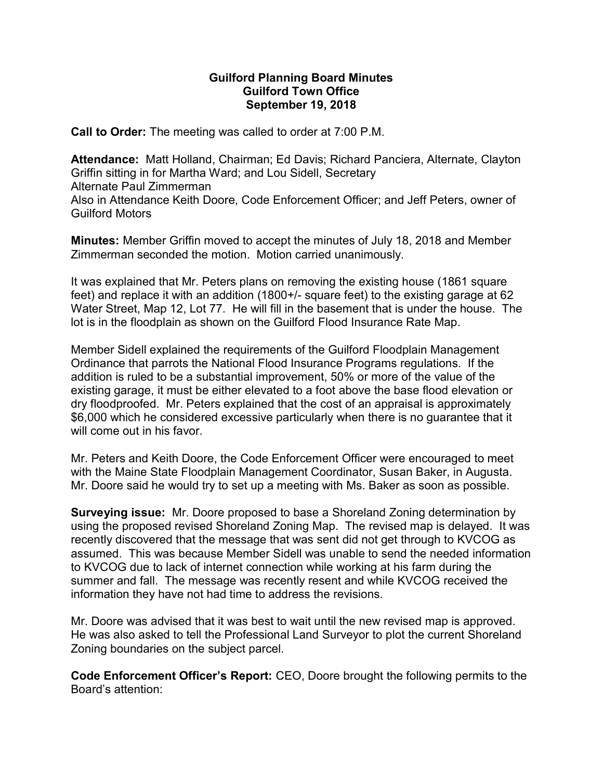## Guilford Planning Board Minutes Guilford Town Office September 19, 2018

Call to Order: The meeting was called to order at 7:00 P.M.

Attendance: Matt Holland, Chairman; Ed Davis; Richard Panciera, Alternate, Clayton Griffin sitting in for Martha Ward; and Lou Sidell, Secretary Alternate Paul Zimmerman Also in Attendance Keith Doore, Code Enforcement Officer; and Jeff Peters, owner of Guilford Motors

Minutes: Member Griffin moved to accept the minutes of July 18, 2018 and Member Zimmerman seconded the motion. Motion carried unanimously.

It was explained that Mr. Peters plans on removing the existing house (1861 square feet) and replace it with an addition (1800+/- square feet) to the existing garage at 62 Water Street, Map 12, Lot 77. He will fill in the basement that is under the house. The lot is in the floodplain as shown on the Guilford Flood Insurance Rate Map.

Member Sidell explained the requirements of the Guilford Floodplain Management Ordinance that parrots the National Flood Insurance Programs regulations. If the addition is ruled to be a substantial improvement, 50% or more of the value of the existing garage, it must be either elevated to a foot above the base flood elevation or dry floodproofed. Mr. Peters explained that the cost of an appraisal is approximately \$6,000 which he considered excessive particularly when there is no guarantee that it will come out in his favor.

Mr. Peters and Keith Doore, the Code Enforcement Officer were encouraged to meet with the Maine State Floodplain Management Coordinator, Susan Baker, in Augusta. Mr. Doore said he would try to set up a meeting with Ms. Baker as soon as possible.

Surveying issue: Mr. Doore proposed to base a Shoreland Zoning determination by using the proposed revised Shoreland Zoning Map. The revised map is delayed. It was recently discovered that the message that was sent did not get through to KVCOG as assumed. This was because Member Sidell was unable to send the needed information to KVCOG due to lack of internet connection while working at his farm during the summer and fall. The message was recently resent and while KVCOG received the information they have not had time to address the revisions.

Mr. Doore was advised that it was best to wait until the new revised map is approved. He was also asked to tell the Professional Land Surveyor to plot the current Shoreland Zoning boundaries on the subject parcel.

Code Enforcement Officer's Report: CEO, Doore brought the following permits to the Board's attention: